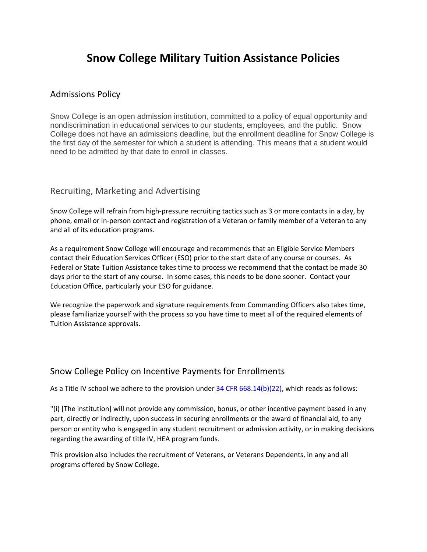# **Snow College Military Tuition Assistance Policies**

#### Admissions Policy

Snow College is an open admission institution, committed to a policy of equal opportunity and nondiscrimination in educational services to our students, employees, and the public. Snow College does not have an admissions deadline, but the enrollment deadline for Snow College is the first day of the semester for which a student is attending. This means that a student would need to be admitted by that date to enroll in classes.

#### Recruiting, Marketing and Advertising

Snow College will refrain from high-pressure recruiting tactics such as 3 or more contacts in a day, by phone, email or in-person contact and registration of a Veteran or family member of a Veteran to any and all of its education programs.

As a requirement Snow College will encourage and recommends that an Eligible Service Members contact their Education Services Officer (ESO) prior to the start date of any course or courses. As Federal or State Tuition Assistance takes time to process we recommend that the contact be made 30 days prior to the start of any course. In some cases, this needs to be done sooner. Contact your Education Office, particularly your ESO for guidance.

We recognize the paperwork and signature requirements from Commanding Officers also takes time, please familiarize yourself with the process so you have time to meet all of the required elements of Tuition Assistance approvals.

## Snow College Policy on Incentive Payments for Enrollments

As a Title IV school we adhere to the provision under [34 CFR 668.14\(b\)\(22\),](https://www.nasfaa.org/Part_668_General_Provisions#subb66814b) which reads as follows:

"(i) [The institution] will not provide any commission, bonus, or other incentive payment based in any part, directly or indirectly, upon success in securing enrollments or the award of financial aid, to any person or entity who is engaged in any student recruitment or admission activity, or in making decisions regarding the awarding of title IV, HEA program funds.

This provision also includes the recruitment of Veterans, or Veterans Dependents, in any and all programs offered by Snow College.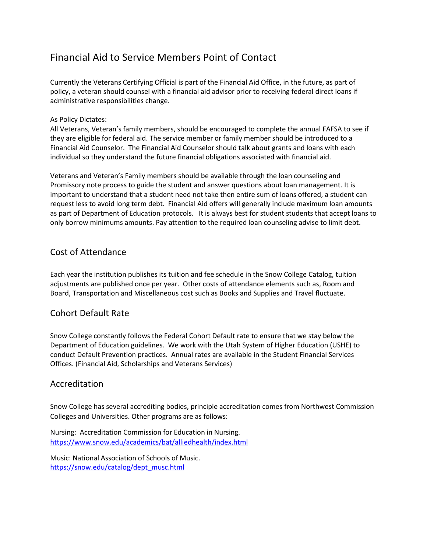# Financial Aid to Service Members Point of Contact

Currently the Veterans Certifying Official is part of the Financial Aid Office, in the future, as part of policy, a veteran should counsel with a financial aid advisor prior to receiving federal direct loans if administrative responsibilities change.

#### As Policy Dictates:

All Veterans, Veteran's family members, should be encouraged to complete the annual FAFSA to see if they are eligible for federal aid. The service member or family member should be introduced to a Financial Aid Counselor. The Financial Aid Counselor should talk about grants and loans with each individual so they understand the future financial obligations associated with financial aid.

Veterans and Veteran's Family members should be available through the loan counseling and Promissory note process to guide the student and answer questions about loan management. It is important to understand that a student need not take then entire sum of loans offered, a student can request less to avoid long term debt. Financial Aid offers will generally include maximum loan amounts as part of Department of Education protocols. It is always best for student students that accept loans to only borrow minimums amounts. Pay attention to the required loan counseling advise to limit debt.

## Cost of Attendance

Each year the institution publishes its tuition and fee schedule in the Snow College Catalog, tuition adjustments are published once per year. Other costs of attendance elements such as, Room and Board, Transportation and Miscellaneous cost such as Books and Supplies and Travel fluctuate.

## Cohort Default Rate

Snow College constantly follows the Federal Cohort Default rate to ensure that we stay below the Department of Education guidelines. We work with the Utah System of Higher Education (USHE) to conduct Default Prevention practices. Annual rates are available in the Student Financial Services Offices. (Financial Aid, Scholarships and Veterans Services)

## Accreditation

Snow College has several accrediting bodies, principle accreditation comes from Northwest Commission Colleges and Universities. Other programs are as follows:

Nursing: Accreditation Commission for Education in Nursing. <https://www.snow.edu/academics/bat/alliedhealth/index.html>

Music: National Association of Schools of Music. [https://snow.edu/catalog/dept\\_musc.html](https://snow.edu/catalog/dept_musc.html)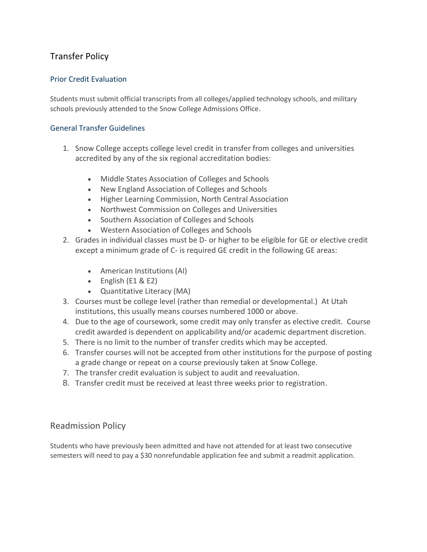# Transfer Policy

#### Prior Credit Evaluation

Students must submit official transcripts from all colleges/applied technology schools, and military schools previously attended to the Snow College Admissions Office.

#### General Transfer Guidelines

- 1. Snow College accepts college level credit in transfer from colleges and universities accredited by any of the six regional accreditation bodies:
	- Middle States Association of Colleges and Schools
	- New England Association of Colleges and Schools
	- Higher Learning Commission, North Central Association
	- Northwest Commission on Colleges and Universities
	- Southern Association of Colleges and Schools
	- Western Association of Colleges and Schools
- 2. Grades in individual classes must be D- or higher to be eligible for GE or elective credit except a minimum grade of C- is required GE credit in the following GE areas:
	- American Institutions (AI)
	- English (E1 & E2)
	- Quantitative Literacy (MA)
- 3. Courses must be college level (rather than remedial or developmental.) At Utah institutions, this usually means courses numbered 1000 or above.
- 4. Due to the age of coursework, some credit may only transfer as elective credit. Course credit awarded is dependent on applicability and/or academic department discretion.
- 5. There is no limit to the number of transfer credits which may be accepted.
- 6. Transfer courses will not be accepted from other institutions for the purpose of posting a grade change or repeat on a course previously taken at Snow College.
- 7. The transfer credit evaluation is subject to audit and reevaluation.
- 8. Transfer credit must be received at least three weeks prior to registration.

## Readmission Policy

Students who have previously been admitted and have not attended for at least two consecutive semesters will need to pay a \$30 nonrefundable application fee and submit a readmit application.